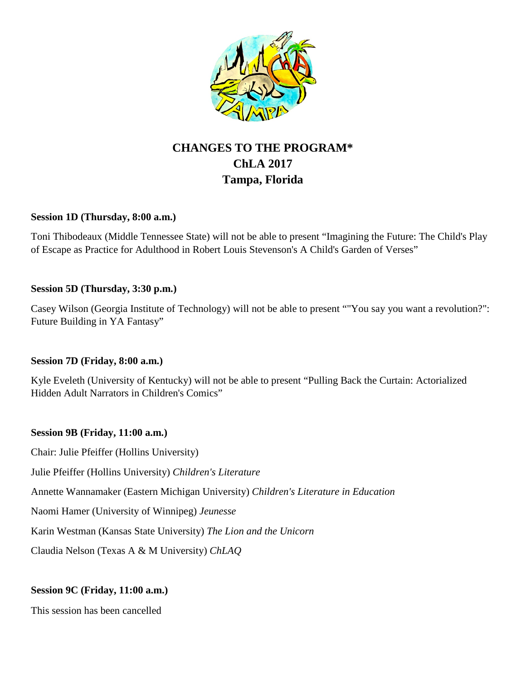

# **CHANGES TO THE PROGRAM\* ChLA 2017 Tampa, Florida**

#### **Session 1D (Thursday, 8:00 a.m.)**

Toni Thibodeaux (Middle Tennessee State) will not be able to present "Imagining the Future: The Child's Play of Escape as Practice for Adulthood in Robert Louis Stevenson's A Child's Garden of Verses"

#### **Session 5D (Thursday, 3:30 p.m.)**

Casey Wilson (Georgia Institute of Technology) will not be able to present ""You say you want a revolution?": Future Building in YA Fantasy"

## **Session 7D (Friday, 8:00 a.m.)**

Kyle Eveleth (University of Kentucky) will not be able to present "Pulling Back the Curtain: Actorialized Hidden Adult Narrators in Children's Comics"

## **Session 9B (Friday, 11:00 a.m.)**

Chair: Julie Pfeiffer (Hollins University)

Julie Pfeiffer (Hollins University) *Children's Literature*

Annette Wannamaker (Eastern Michigan University) *Children's Literature in Education*

Naomi Hamer (University of Winnipeg) *Jeunesse*

Karin Westman (Kansas State University) *The Lion and the Unicorn*

Claudia Nelson (Texas A & M University) *ChLAQ*

## **Session 9C (Friday, 11:00 a.m.)**

This session has been cancelled